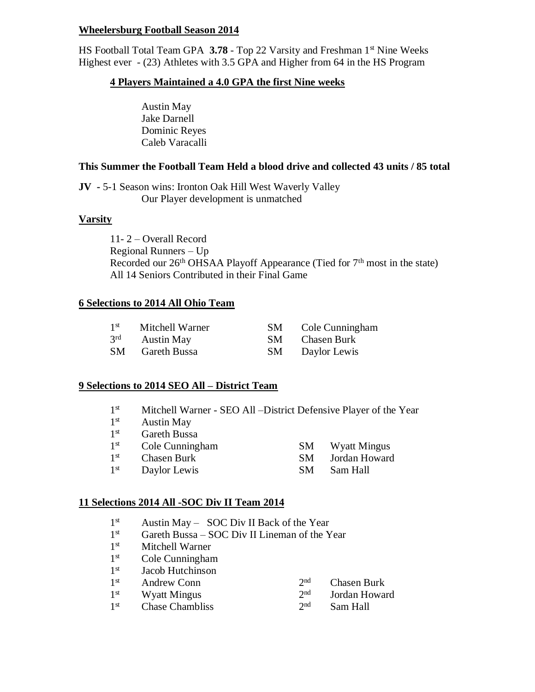#### **Wheelersburg Football Season 2014**

HS Football Total Team GPA 3.78 - Top 22 Varsity and Freshman 1<sup>st</sup> Nine Weeks Highest ever - (23) Athletes with 3.5 GPA and Higher from 64 in the HS Program

#### **4 Players Maintained a 4.0 GPA the first Nine weeks**

Austin May Jake Darnell Dominic Reyes Caleb Varacalli

#### **This Summer the Football Team Held a blood drive and collected 43 units / 85 total**

**JV -** 5-1 Season wins: Ironton Oak Hill West Waverly Valley Our Player development is unmatched

#### **Varsity**

11- 2 – Overall Record Regional Runners – Up Recorded our  $26<sup>th</sup> OHSAA$  Playoff Appearance (Tied for  $7<sup>th</sup>$  most in the state) All 14 Seniors Contributed in their Final Game

#### **6 Selections to 2014 All Ohio Team**

| 1 <sup>st</sup> | Mitchell Warner   | SM  | Cole Cunningham |
|-----------------|-------------------|-----|-----------------|
| $3^{\text{rd}}$ | <b>Austin May</b> | SM. | Chasen Burk     |
| SM              | Gareth Bussa      | -SM | Daylor Lewis    |

#### **9 Selections to 2014 SEO All – District Team**

- $1<sup>st</sup>$ Mitchell Warner - SEO All –District Defensive Player of the Year
- $1<sup>st</sup>$ Austin May
- $1^{\rm st}$ **Gareth Bussa**
- $1<sup>st</sup>$ Cole Cunningham SM Wyatt Mingus
- $1<sup>st</sup>$ **SM** Jordan Howard
- $1<sup>st</sup>$ Daylor Lewis SM Sam Hall

#### **11 Selections 2014 All -SOC Div II Team 2014**

- $1^{\rm st}$ Austin May – SOC Div II Back of the Year
- $1<sup>st</sup>$ Gareth Bussa – SOC Div II Lineman of the Year
- $1<sup>st</sup>$ Mitchell Warner
- $1<sup>st</sup>$ Cole Cunningham
- 1 st Jacob Hutchinson
- $1<sup>st</sup>$ Andrew Conn 2<sup>nd</sup>

 $1<sup>st</sup>$ 

- Chasen Burk Jordan Howard
- 
- Wyatt Mingus  $2<sup>nd</sup>$ <br>Chase Chambliss  $2<sup>nd</sup>$  $1<sup>st</sup>$ Chase Chambliss Sam Hall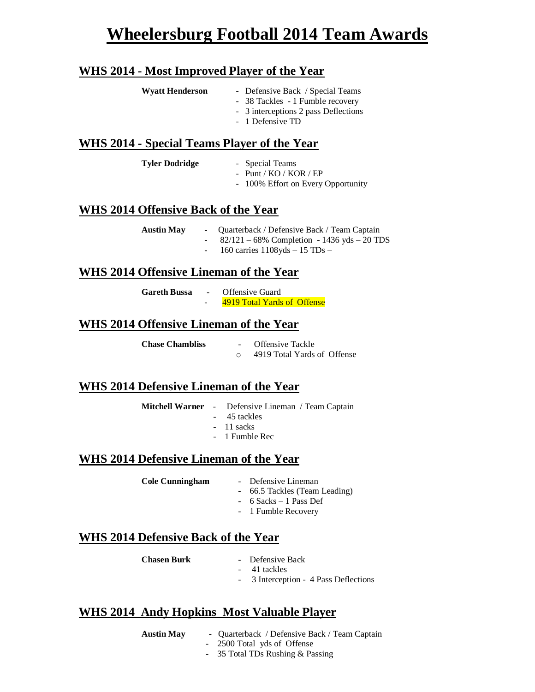# **Wheelersburg Football 2014 Team Awards**

# **WHS 2014 - Most Improved Player of the Year**

| <b>Wyatt Henderson</b> | - Defensive Back / Special Teams<br>- 38 Tackles - 1 Fumble recovery |
|------------------------|----------------------------------------------------------------------|
|                        | - 3 interceptions 2 pass Deflections<br>- 1 Defensive TD             |

### **WHS 2014 - Special Teams Player of the Year**

| <b>Tyler Dodridge</b> | - Special Teams                    |
|-----------------------|------------------------------------|
|                       | - Punt / $KO / KOR / EP$           |
|                       | - 100% Effort on Every Opportunity |

#### **WHS 2014 Offensive Back of the Year**

| <b>Austin May</b> | Quarterback / Defensive Back / Team Captain    |
|-------------------|------------------------------------------------|
|                   | $82/121 - 68\%$ Completion - 1436 yds – 20 TDS |
|                   | 160 carries $1108yds - 15$ TDs $-$             |

## **WHS 2014 Offensive Lineman of the Year**

| Gareth Bussa | $\sim$ | Offensive Guard             |  |
|--------------|--------|-----------------------------|--|
|              | -      | 4919 Total Yards of Offense |  |

# **WHS 2014 Offensive Lineman of the Year**

| <b>Chase Chambliss</b> | <b>Offensive Tackle</b>     |
|------------------------|-----------------------------|
|                        | 4919 Total Yards of Offense |

# **WHS 2014 Defensive Lineman of the Year**

**Mitchell Warner** - Defensive Lineman / Team Captain

- 45 tackles
- 11 sacks
- 1 Fumble Rec

#### **WHS 2014 Defensive Lineman of the Year**

| <b>Cole Cunningham</b> |  | Defensive Lineman |
|------------------------|--|-------------------|
|------------------------|--|-------------------|

- 66.5 Tackles (Team Leading)
- 6 Sacks 1 Pass Def
- 1 Fumble Recovery

# **WHS 2014 Defensive Back of the Year**

| <b>Chasen Burk</b> | Defensive Back |
|--------------------|----------------|
|                    |                |

- 41 tackles
- 3 Interception 4 Pass Deflections

# **WHS 2014 Andy Hopkins Most Valuable Player**

- **Austin May**  Quarterback / Defensive Back / Team Captain
	- 2500 Total yds of Offense
	- 35 Total TDs Rushing & Passing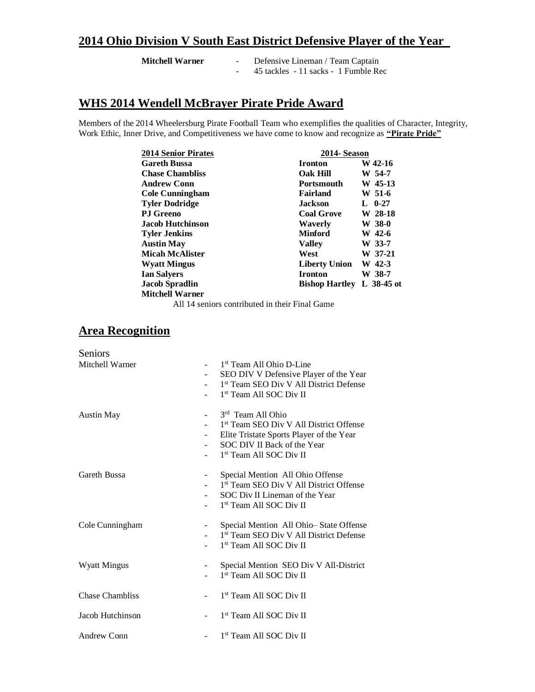# **2014 Ohio Division V South East District Defensive Player of the Year**

| <b>Mitchell Warner</b> | Defensive Lineman / Team Captain     |  |  |
|------------------------|--------------------------------------|--|--|
|                        | 45 tackles - 11 sacks - 1 Fumble Rec |  |  |

# **WHS 2014 Wendell McBrayer Pirate Pride Award**

Members of the 2014 Wheelersburg Pirate Football Team who exemplifies the qualities of Character, Integrity, Work Ethic, Inner Drive, and Competitiveness we have come to know and recognize as **"Pirate Pride"**

| <b>2014 Senior Pirates</b> | 2014- Season          |              |
|----------------------------|-----------------------|--------------|
| <b>Gareth Bussa</b>        | <b>Ironton</b>        | W 42-16      |
| <b>Chase Chambliss</b>     | <b>Oak Hill</b>       | W 54-7       |
| <b>Andrew Conn</b>         | <b>Portsmouth</b>     | W 45-13      |
| <b>Cole Cunningham</b>     | <b>Fairland</b>       | W 51-6       |
| <b>Tyler Dodridge</b>      | <b>Jackson</b>        | L $0-27$     |
| <b>P.I</b> Greeno          | <b>Coal Grove</b>     | W 28-18      |
| <b>Jacob Hutchinson</b>    | Waverly               | W 38-0       |
| <b>Tyler Jenkins</b>       | <b>Minford</b>        | W 42-6       |
| <b>Austin May</b>          | <b>Valley</b>         | W 33-7       |
| <b>Micah McAlister</b>     | West                  | W 37-21      |
| <b>Wyatt Mingus</b>        | <b>Liberty Union</b>  | W 42-3       |
| <b>Ian Salyers</b>         | <b>Ironton</b>        | W 38-7       |
| <b>Jacob Spradlin</b>      | <b>Bishop Hartley</b> | L $38-45$ ot |
| <b>Mitchell Warner</b>     |                       |              |
| .                          |                       |              |

All 14 seniors contributed in their Final Game

# **Area Recognition**

|                          | 1 <sup>st</sup> Team All Ohio D-Line                |
|--------------------------|-----------------------------------------------------|
|                          | SEO DIV V Defensive Player of the Year              |
|                          | 1 <sup>st</sup> Team SEO Div V All District Defense |
|                          | 1st Team All SOC Div II                             |
|                          | 3rd Team All Ohio                                   |
|                          | 1 <sup>st</sup> Team SEO Div V All District Offense |
|                          | Elite Tristate Sports Player of the Year            |
| $\overline{\phantom{0}}$ | SOC DIV II Back of the Year                         |
|                          | 1 <sup>st</sup> Team All SOC Div II                 |
| -                        | Special Mention All Ohio Offense                    |
|                          | 1st Team SEO Div V All District Offense             |
|                          | SOC Div II Lineman of the Year                      |
|                          | 1 <sup>st</sup> Team All SOC Div II                 |
| -                        | Special Mention All Ohio-State Offense              |
|                          | 1 <sup>st</sup> Team SEO Div V All District Defense |
|                          | 1 <sup>st</sup> Team All SOC Div II                 |
| -                        | Special Mention SEO Div V All-District              |
|                          | 1 <sup>st</sup> Team All SOC Div II                 |
|                          |                                                     |
|                          | 1 <sup>st</sup> Team All SOC Div II                 |
|                          | 1 <sup>st</sup> Team All SOC Div II                 |
|                          | 1st Team All SOC Div II                             |
|                          |                                                     |